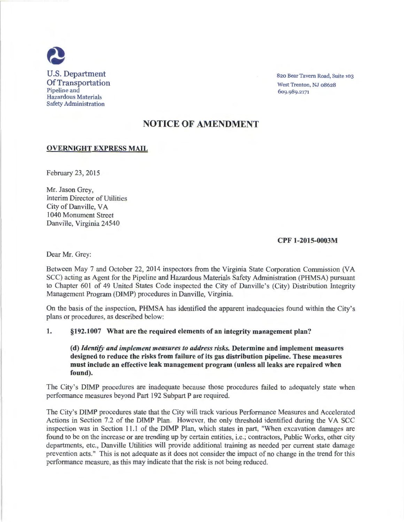

820 Bear Tavern Road, Suite 103 West Trenton, NJ 08628 6og.g8g.2171

# NOTICE OF AMENDMENT

## OVERNIGHT EXPRESS MAIL

February 23, 2015

Mr. Jason Grey, Interim Director of Utilities City of Danville, VA 1040 Monument Street Danville, Virginia 24540

## CPF 1-2015-0003M

Dear Mr. Grey:

Between May 7 and October 22, 2014 inspectors from the Virginia State Corporation Commission (VA SCC) acting as Agent for the Pipeline and Hazardous Materials Safety Administration (PHMSA) pursuant to Chapter 601 of 49 United States Code inspected the City of Danville's (City) Distribution Integrity Management Program (DIMP) procedures in Danville, Virginia.

On the basis of the inspection, PHMSA has identified the apparent inadequacies found within the City's plans or procedures, as described below:

#### 1. §192.1007 What are the required elements of an integrity management plan?

(d) *Identify and implement measures to address risks.* Determine and implement measures designed to reduce the risks from failure of its gas distribution pipeline. These measures must include an effective leak management program (unless all leaks are repaired when found).

The City's DIMP procedures are inadequate because those procedures failed to adequately state when performance measures beyond Part 192 Subpart P are required.

The City's DIMP procedures state that the City will track various Performance Measures and Accelerated Actions in Section 7.2 of the DIMP Plan. However, the only threshold identified during the VA SCC inspection was in Section 11 .1 of the DIMP Plan, which states in part, "When excavation damages are found to be on the increase or are trending up by certain entities, i.e.; contractors, Public Works, other city departments, etc., Danville Utilities will provide additional training as needed per current state damage prevention acts." This is not adequate as it does not consider the impact of no change in the trend for this performance measure, as this may indicate that the risk is not being reduced.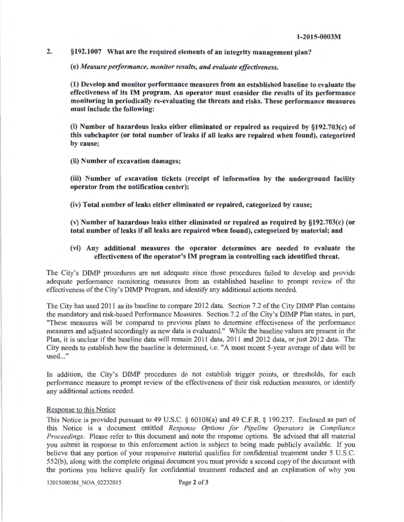2. §192.1007 What are the required elements of an integrity management plan?

(e) *Measure performance, monitor results, and evaluate effectiveness.* 

(1) Develop and monitor performance measures from an established baseline to evaluate the effectiveness of its IM program. An operator must consider the results of its performance monitoring in periodically re-evaluating the threats and risks. These performance measures must include the following:

(i) Number of hazardous leaks either eliminated or repaired as required by §192.703(c) of this subchapter (or total number of leaks if all leaks are repaired when found), categorized by cause;

(ii) Number of excavation damages;

(iii) Number of excavation tickets (receipt of information by the underground facility operator from the notification center);

(iv) Total number of leaks either eliminated or repaired, categorized by cause;

(v) Number of hazardous leaks either eliminated or repaired as required by §192.703(c) (or total number of leaks if all leaks are repaired when found), categorized by material; and

### (vi) Any additional measures the operator determines are needed to evaluate the effectiveness of the operator's IM program in controlling each identified threat.

The City's DIMP procedures are not adequate since those procedures failed to develop and provide adequate performance monitoring measures from an established baseline to prompt review of the effectiveness of the City's DIMP Program, and identify any additional actions needed.

The City has used 2011 as its baseline to compare 2012 data. Section 7.2 of the City DIMP Plan contains the mandatory and risk-based Performance Measures. Section 7.2 of the City's DIMP Plan states, in part, "These measures will be compared to previous plans to determine effectiveness of the performance measures and adjusted accordingly as new data is evaluated." While the baseline values are present in the Plan, it is unclear if the baseline data will remain 2011 data, 2011 and 2012 data, or just 2012 data. The City needs to establish how the baseline is determined, i.e. "A most recent 5-year average of data will be used..."

In addition, the City's DIMP procedures do not establish trigger points, or thresholds, for each performance measure to prompt review of the effectiveness of their risk reduction measures, or identify any additional actions needed.

#### Response to this Notice

This Notice is provided pursuant to 49 U.S.C. § 60108(a) and 49 C.F.R. § 190.237. Enclosed as part of this Notice is a document entitled *Response Options for Pipeline Operators in Compliance Proceedings.* Please refer to this document and note the response options. Be advised that all material you submit in response to this enforcement action is subject to being made publicly available. If you believe that any portion of your responsive material qualifies for confidential treatment under 5 U.S.C. 552(b), along with the complete original document you must provide a second copy of the document with the portions you believe qualify for confidential treatment redacted and an explanation of why you

120150003M NOA 02232015 Page 2 of 3